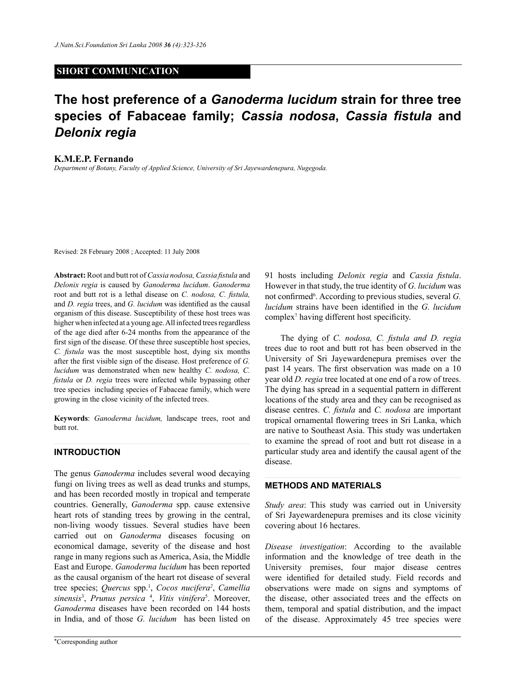## **SHORT COMMUNICATION**

# **The host preference of a** *Ganoderma lucidum* **strain for three tree species of Fabaceae family;** *Cassia nodosa***,** *Cassia fistula* **and**  *Delonix regia*

#### **K.M.E.P. Fernando**

*Department of Botany, Faculty of Applied Science, University of Sri Jayewardenepura, Nugegoda.*

Revised: 28 February 2008 ; Accepted: 11 July 2008

**Abstract:** Root and butt rot of *Cassia nodosa, Cassia fistula* and *Delonix regia* is caused by *Ganoderma lucidum*. *Ganoderma* root and butt rot is a lethal disease on *C. nodosa, C. fistula,* and *D. regia* trees, and *G. lucidum* was identified as the causal organism of this disease. Susceptibility of these host trees was higher when infected at a young age. All infected trees regardless of the age died after 6-24 months from the appearance of the first sign of the disease. Of these three susceptible host species, *C. fistula* was the most susceptible host, dying six months after the first visible sign of the disease. Host preference of *G. lucidum* was demonstrated when new healthy *C. nodosa, C. fistula* or *D. regia* trees were infected while bypassing other tree species including species of Fabaceae family, which were growing in the close vicinity of the infected trees.

**Keywords**: *Ganoderma lucidum,* landscape trees, root and butt rot.

### **Introduction**

The genus *Ganoderma* includes several wood decaying fungi on living trees as well as dead trunks and stumps, and has been recorded mostly in tropical and temperate countries. Generally, *Ganoderma* spp. cause extensive heart rots of standing trees by growing in the central, non-living woody tissues. Several studies have been carried out on *Ganoderma* diseases focusing on economical damage, severity of the disease and host range in many regions such as America, Asia, the Middle East and Europe. *Ganoderma lucidum* has been reported as the causal organism of the heart rot disease of several tree species; *Quercus* spp.1 , *Cocos nucifera2* , *Camellia sinensis*<sup>3</sup> , *Prunus persica* <sup>4</sup> , *Vitis vinifera*<sup>5</sup> . Moreover, *Ganoderma* diseases have been recorded on 144 hosts in India, and of those *G. lucidum* has been listed on

91 hosts including *Delonix regia* and *Cassia fistula*. However in that study, the true identity of *G. lucidum* was not confirmed<sup>6</sup>. According to previous studies, several *G*. *lucidum* strains have been identified in the *G. lucidum* complex7 having different host specificity.

The dying of *C. nodosa, C. fistula and D. regia* trees due to root and butt rot has been observed in the University of Sri Jayewardenepura premises over the past 14 years. The first observation was made on a 10 year old *D. regia* tree located at one end of a row of trees. The dying has spread in a sequential pattern in different locations of the study area and they can be recognised as disease centres. *C. fistula* and *C. nodosa* are important tropical ornamental flowering trees in Sri Lanka, which are native to Southeast Asia. This study was undertaken to examine the spread of root and butt rot disease in a particular study area and identify the causal agent of the disease.

## **Methods and materials**

*Study area*: This study was carried out in University of Sri Jayewardenepura premises and its close vicinity covering about 16 hectares.

*Disease investigation*: According to the available information and the knowledge of tree death in the University premises, four major disease centres were identified for detailed study. Field records and observations were made on signs and symptoms of the disease, other associated trees and the effects on them, temporal and spatial distribution, and the impact of the disease. Approximately 45 tree species were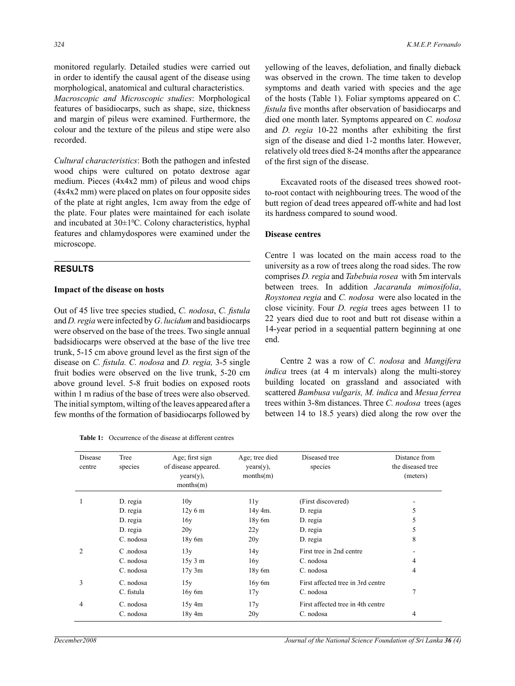monitored regularly. Detailed studies were carried out in order to identify the causal agent of the disease using morphological, anatomical and cultural characteristics.

*Macroscopic and Microscopic studies*: Morphological features of basidiocarps, such as shape, size, thickness and margin of pileus were examined. Furthermore, the colour and the texture of the pileus and stipe were also recorded.

*Cultural characteristics*: Both the pathogen and infested wood chips were cultured on potato dextrose agar medium. Pieces (4x4x2 mm) of pileus and wood chips (4x4x2 mm) were placed on plates on four opposite sides of the plate at right angles, 1cm away from the edge of the plate. Four plates were maintained for each isolate and incubated at 30±1<sup>o</sup>C. Colony characteristics, hyphal features and chlamydospores were examined under the microscope.

### **Results**

#### **Impact of the disease on hosts**

Out of 45 live tree species studied, *C. nodosa*, *C. fistula*  and *D. regia* were infected by *G*. *lucidum* and basidiocarps were observed on the base of the trees. Two single annual badsidiocarps were observed at the base of the live tree trunk, 5-15 cm above ground level as the first sign of the disease on *C. fistula. C. nodosa* and *D. regia,* 3-5 single fruit bodies were observed on the live trunk, 5-20 cm above ground level. 5-8 fruit bodies on exposed roots within 1 m radius of the base of trees were also observed. The initial symptom, wilting of the leaves appeared after a few months of the formation of basidiocarps followed by

| <b>Table 1:</b> Occurrence of the disease at different centres |
|----------------------------------------------------------------|
|----------------------------------------------------------------|

yellowing of the leaves, defoliation, and finally dieback was observed in the crown. The time taken to develop symptoms and death varied with species and the age of the hosts (Table 1). Foliar symptoms appeared on *C. fistula* five months after observation of basidiocarps and died one month later. Symptoms appeared on *C. nodosa* and *D. regia* 10-22 months after exhibiting the first sign of the disease and died 1-2 months later. However, relatively old trees died 8-24 months after the appearance of the first sign of the disease.

Excavated roots of the diseased trees showed rootto-root contact with neighbouring trees. The wood of the butt region of dead trees appeared off-white and had lost its hardness compared to sound wood.

#### **Disease centres**

Centre 1 was located on the main access road to the university as a row of trees along the road sides. The row comprises *D. regia* and *Tabebuia rosea* with 5m intervals between trees. In addition *Jacaranda mimosifolia*, *Roystonea regia* and *C. nodosa* were also located in the close vicinity. Four *D. regia* trees ages between 11 to 22 years died due to root and butt rot disease within a 14-year period in a sequential pattern beginning at one end.

Centre 2 was a row of *C. nodosa* and *Mangifera indica* trees (at 4 m intervals) along the multi-storey building located on grassland and associated with scattered *Bambusa vulgaris, M. indica* and *Mesua ferrea* trees within 3-8m distances. Three *C. nodosa* trees (ages between 14 to 18.5 years) died along the row over the

| Disease<br>centre | Tree<br>species | Age; first sign<br>of disease appeared.<br>$years(y)$ ,<br>months(m) | Age; tree died<br>$years(y)$ ,<br>months(m) | Diseased tree<br>species          | Distance from<br>the diseased tree<br>(meters) |
|-------------------|-----------------|----------------------------------------------------------------------|---------------------------------------------|-----------------------------------|------------------------------------------------|
|                   | D. regia        | 10y                                                                  | 11y                                         | (First discovered)                |                                                |
|                   | D. regia        | 12y 6m                                                               | $14y$ 4m.                                   | D. regia                          | 5                                              |
|                   | D. regia        | 16y                                                                  | $18y$ 6m                                    | D. regia                          | 5                                              |
|                   | D. regia        | 20y                                                                  | 22y                                         | D. regia                          | 5                                              |
|                   | C. nodosa       | $18y$ 6m                                                             | 20y                                         | D. regia                          | 8                                              |
| 2                 | C .nodosa       | 13y                                                                  | 14y                                         | First tree in 2nd centre          |                                                |
|                   | C. nodosa       | $15y$ 3 m                                                            | 16y                                         | C. nodosa                         | 4                                              |
|                   | C. nodosa       | $17y$ 3m                                                             | $18y$ 6m                                    | C. nodosa                         | 4                                              |
| 3                 | C. nodosa       | 15y                                                                  | $16y$ 6m                                    | First affected tree in 3rd centre |                                                |
|                   | C. fistula      | $16y$ 6m                                                             | 17y                                         | C. nodosa                         | 7                                              |
| 4                 | C. nodosa       | $15y \, 4m$                                                          | 17y                                         | First affected tree in 4th centre |                                                |
|                   | C. nodosa       | 18y 4m                                                               | 20y                                         | C. nodosa                         | 4                                              |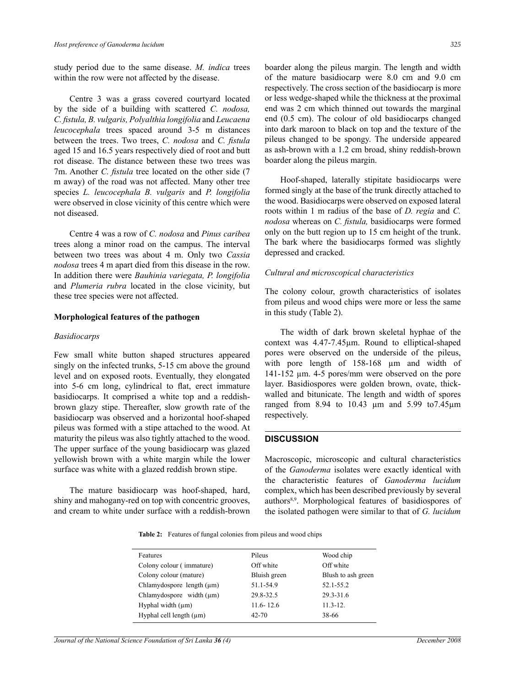study period due to the same disease. *M. indica* trees within the row were not affected by the disease.

Centre 3 was a grass covered courtyard located by the side of a building with scattered *C. nodosa, C. fistula, B. vulgaris, Polyalthia longifolia* and *Leucaena leucocephala* trees spaced around 3-5 m distances between the trees. Two trees, *C. nodosa* and *C. fistula* aged 15 and 16.5 years respectively died of root and butt rot disease. The distance between these two trees was 7m. Another *C. fistula* tree located on the other side (7 m away) of the road was not affected. Many other tree species *L. leucocephala B. vulgaris* and *P. longifolia* were observed in close vicinity of this centre which were not diseased.

Centre 4 was a row of *C. nodosa* and *Pinus caribea* trees along a minor road on the campus. The interval between two trees was about 4 m. Only two *Cassia nodosa* trees 4 m apart died from this disease in the row. In addition there were *Bauhinia variegata, P. longifolia* and *Plumeria rubra* located in the close vicinity, but these tree species were not affected.

#### **Morphological features of the pathogen**

#### *Basidiocarps*

Few small white button shaped structures appeared singly on the infected trunks, 5-15 cm above the ground level and on exposed roots. Eventually, they elongated into 5-6 cm long, cylindrical to flat, erect immature basidiocarps. It comprised a white top and a reddishbrown glazy stipe. Thereafter, slow growth rate of the basidiocarp was observed and a horizontal hoof-shaped pileus was formed with a stipe attached to the wood. At maturity the pileus was also tightly attached to the wood. The upper surface of the young basidiocarp was glazed yellowish brown with a white margin while the lower surface was white with a glazed reddish brown stipe.

The mature basidiocarp was hoof-shaped, hard, shiny and mahogany-red on top with concentric grooves, and cream to white under surface with a reddish-brown boarder along the pileus margin. The length and width of the mature basidiocarp were 8.0 cm and 9.0 cm respectively. The cross section of the basidiocarp is more or less wedge-shaped while the thickness at the proximal end was 2 cm which thinned out towards the marginal end (0.5 cm). The colour of old basidiocarps changed into dark maroon to black on top and the texture of the pileus changed to be spongy. The underside appeared as ash-brown with a 1.2 cm broad, shiny reddish-brown boarder along the pileus margin.

Hoof-shaped, laterally stipitate basidiocarps were formed singly at the base of the trunk directly attached to the wood. Basidiocarps were observed on exposed lateral roots within 1 m radius of the base of *D. regia* and *C. nodosa* whereas on *C. fistula,* basidiocarps were formed only on the butt region up to 15 cm height of the trunk. The bark where the basidiocarps formed was slightly depressed and cracked.

#### *Cultural and microscopical characteristics*

The colony colour, growth characteristics of isolates from pileus and wood chips were more or less the same in this study (Table 2).

The width of dark brown skeletal hyphae of the context was 4.47-7.45µm. Round to elliptical-shaped pores were observed on the underside of the pileus, with pore length of 158-168 um and width of 141-152 µm. 4-5 pores/mm were observed on the pore layer. Basidiospores were golden brown, ovate, thickwalled and bitunicate. The length and width of spores ranged from 8.94 to 10.43 µm and 5.99 to7.45µm respectively.

### **Discussion**

Macroscopic, microscopic and cultural characteristics of the *Ganoderma* isolates were exactly identical with the characteristic features of *Ganoderma lucidum* complex, which has been described previously by several authors8,9. Morphological features of basidiospores of the isolated pathogen were similar to that of *G. lucidum*

**Table 2:** Features of fungal colonies from pileus and wood chips

| Features                       | Pileus        | Wood chip          |
|--------------------------------|---------------|--------------------|
| Colony colour (immature)       | Off white     | Off white          |
| Colony colour (mature)         | Bluish green  | Blush to ash green |
| Chlamydospore length $(\mu m)$ | 51.1-54.9     | 52.1-55.2          |
| Chlamydospore width $(\mu m)$  | 29.8-32.5     | $29.3 - 31.6$      |
| Hyphal width $(\mu m)$         | $11.6 - 12.6$ | $11.3 - 12.$       |
| Hyphal cell length $(\mu m)$   | $42 - 70$     | 38-66              |